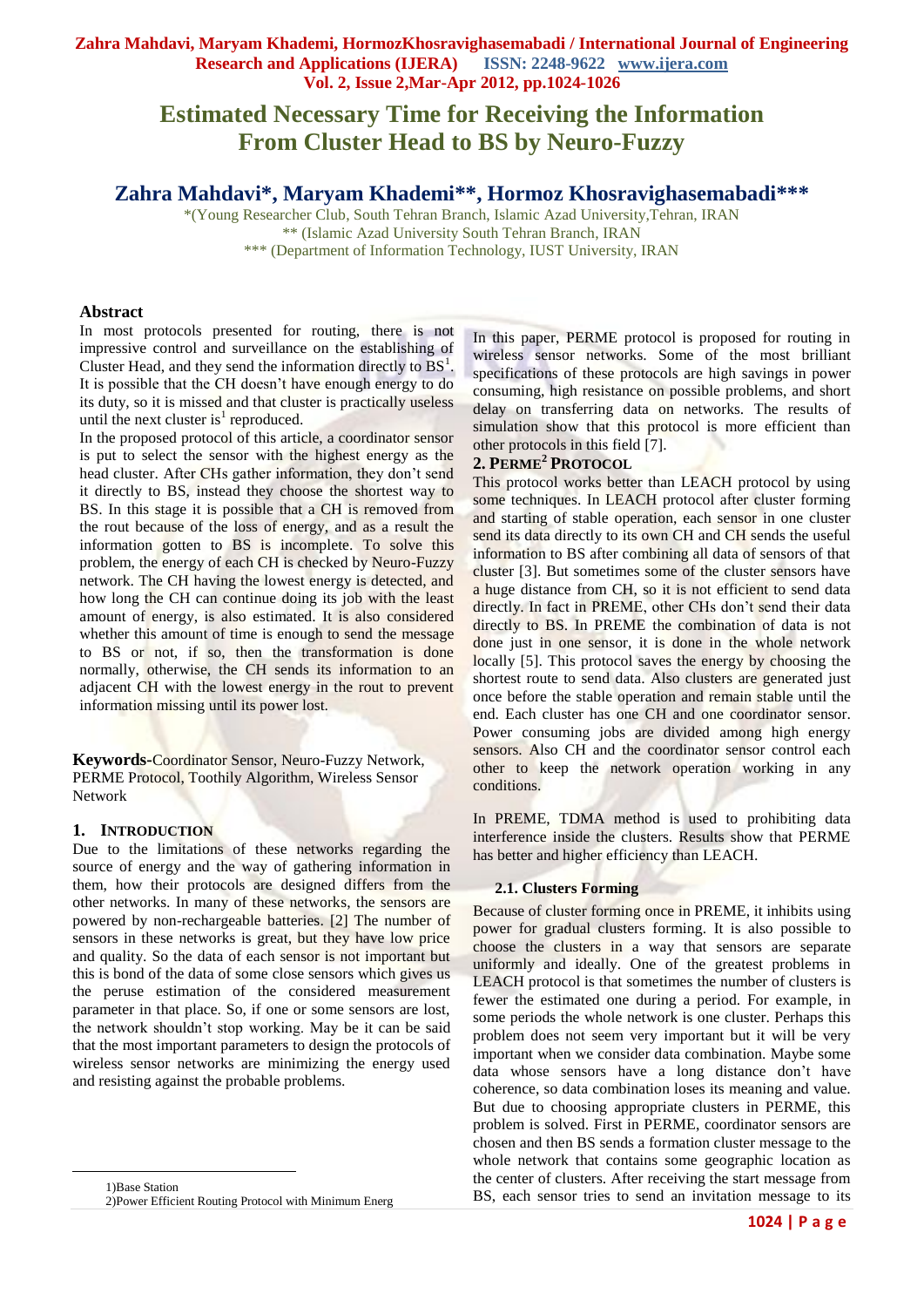# **Zahra Mahdavi, Maryam Khademi, HormozKhosravighasemabadi / International Journal of Engineering Research and Applications (IJERA) Vol. 2, Issue 2,Mar-Apr 2012, pp.1024-1026**

# **Estimated Necessary Time for Receiving the Information From Cluster Head to BS by Neuro-Fuzzy**

# **Zahra Mahdavi\*, Maryam Khademi\*\*, Hormoz Khosravighasemabadi\*\*\***

\*(Young Researcher Club, South Tehran Branch, Islamic Azad University,Tehran, IRAN \*\* (Islamic Azad University South Tehran Branch, IRAN \*\*\* (Department of Information Technology, IUST University, IRAN

### **Abstract**

In most protocols presented for routing, there is not impressive control and surveillance on the establishing of Cluster Head, and they send the information directly to  $BS<sup>1</sup>$ . It is possible that the CH doesn't have enough energy to do its duty, so it is missed and that cluster is practically useless until the next cluster is<sup>1</sup> reproduced.

In the proposed protocol of this article, a coordinator sensor is put to select the sensor with the highest energy as the head cluster. After CHs gather information, they don't send it directly to BS, instead they choose the shortest way to BS. In this stage it is possible that a CH is removed from the rout because of the loss of energy, and as a result the information gotten to BS is incomplete. To solve this problem, the energy of each CH is checked by Neuro-Fuzzy network. The CH having the lowest energy is detected, and how long the CH can continue doing its job with the least amount of energy, is also estimated. It is also considered whether this amount of time is enough to send the message to BS or not, if so, then the transformation is done normally, otherwise, the CH sends its information to an adjacent CH with the lowest energy in the rout to prevent information missing until its power lost.

**Keywords-**Coordinator Sensor, Neuro-Fuzzy Network, PERME Protocol, Toothily Algorithm, Wireless Sensor Network

# **1. INTRODUCTION**

 $\overline{a}$ 

Due to the limitations of these networks regarding the source of energy and the way of gathering information in them, how their protocols are designed differs from the other networks. In many of these networks, the sensors are powered by non-rechargeable batteries. [2] The number of sensors in these networks is great, but they have low price and quality. So the data of each sensor is not important but this is bond of the data of some close sensors which gives us the peruse estimation of the considered measurement parameter in that place. So, if one or some sensors are lost, the network shouldn't stop working. May be it can be said that the most important parameters to design the protocols of wireless sensor networks are minimizing the energy used and resisting against the probable problems.

1)Base Station 2)Power Efficient Routing Protocol with Minimum Energ In this paper, PERME protocol is proposed for routing in wireless sensor networks. Some of the most brilliant specifications of these protocols are high savings in power consuming, high resistance on possible problems, and short delay on transferring data on networks. The results of simulation show that this protocol is more efficient than other protocols in this field [7].

## **2. PERME<sup>2</sup> PROTOCOL**

This protocol works better than LEACH protocol by using some techniques. In LEACH protocol after cluster forming and starting of stable operation, each sensor in one cluster send its data directly to its own CH and CH sends the useful information to BS after combining all data of sensors of that cluster [3]. But sometimes some of the cluster sensors have a huge distance from CH, so it is not efficient to send data directly. In fact in PREME, other CHs don't send their data directly to BS. In PREME the combination of data is not done just in one sensor, it is done in the whole network locally [5]. This protocol saves the energy by choosing the shortest route to send data. Also clusters are generated just once before the stable operation and remain stable until the end. Each cluster has one CH and one coordinator sensor. Power consuming jobs are divided among high energy sensors. Also CH and the coordinator sensor control each other to keep the network operation working in any conditions.

In PREME, TDMA method is used to prohibiting data interference inside the clusters. Results show that PERME has better and higher efficiency than LEACH.

#### **2.1. Clusters Forming**

Because of cluster forming once in PREME, it inhibits using power for gradual clusters forming. It is also possible to choose the clusters in a way that sensors are separate uniformly and ideally. One of the greatest problems in LEACH protocol is that sometimes the number of clusters is fewer the estimated one during a period. For example, in some periods the whole network is one cluster. Perhaps this problem does not seem very important but it will be very important when we consider data combination. Maybe some data whose sensors have a long distance don't have coherence, so data combination loses its meaning and value. But due to choosing appropriate clusters in PERME, this problem is solved. First in PERME, coordinator sensors are chosen and then BS sends a formation cluster message to the whole network that contains some geographic location as the center of clusters. After receiving the start message from BS, each sensor tries to send an invitation message to its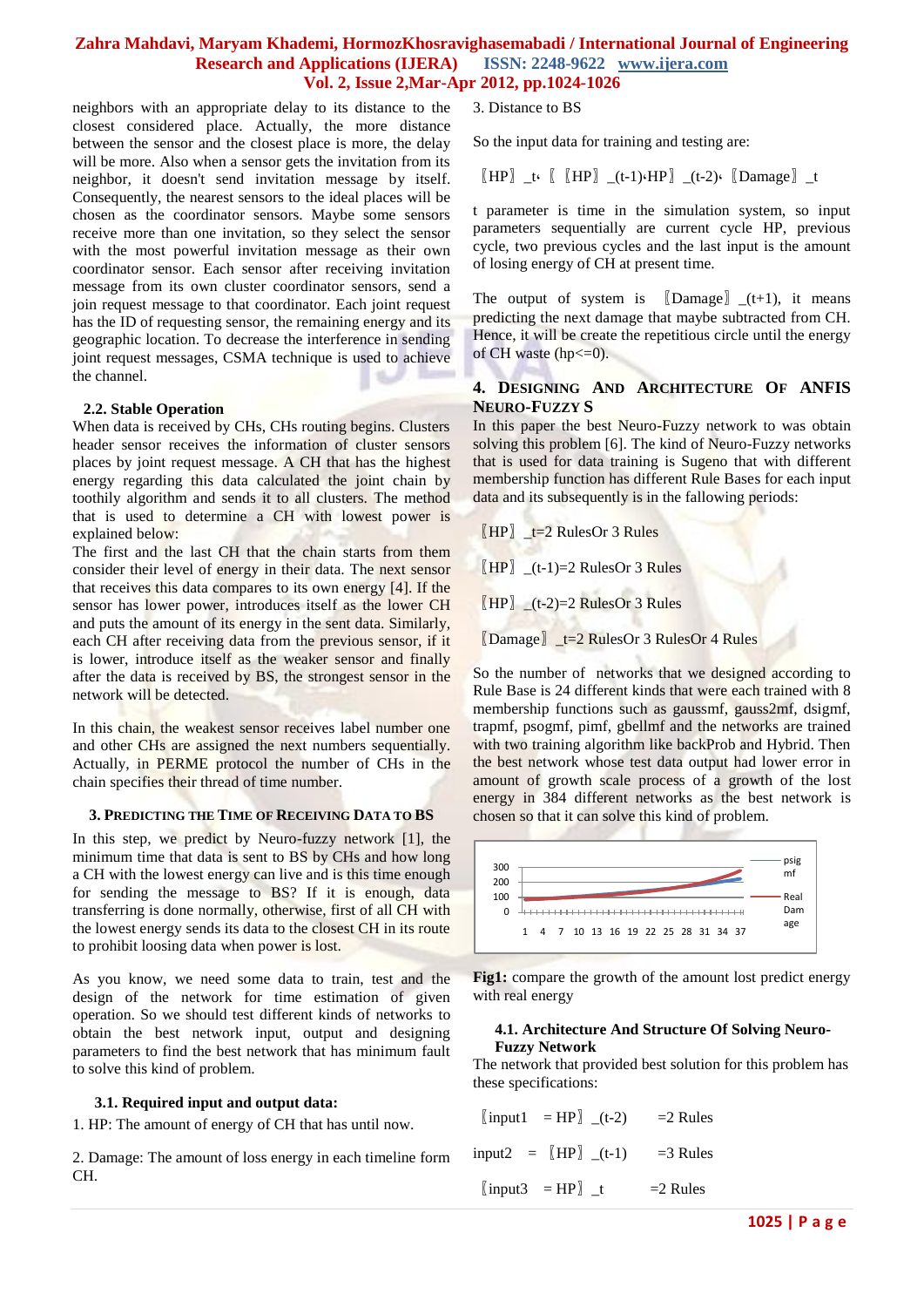# **Zahra Mahdavi, Maryam Khademi, HormozKhosravighasemabadi / International Journal of Engineering Research and Applications (IJERA) Vol. 2, Issue 2,Mar-Apr 2012, pp.1024-1026**

neighbors with an appropriate delay to its distance to the closest considered place. Actually, the more distance between the sensor and the closest place is more, the delay will be more. Also when a sensor gets the invitation from its neighbor, it doesn't send invitation message by itself. Consequently, the nearest sensors to the ideal places will be chosen as the coordinator sensors. Maybe some sensors receive more than one invitation, so they select the sensor with the most powerful invitation message as their own coordinator sensor. Each sensor after receiving invitation message from its own cluster coordinator sensors, send a join request message to that coordinator. Each joint request has the ID of requesting sensor, the remaining energy and its geographic location. To decrease the interference in sending joint request messages, CSMA technique is used to achieve the channel.

#### **2.2. Stable Operation**

When data is received by CHs, CHs routing begins. Clusters header sensor receives the information of cluster sensors places by joint request message. A CH that has the highest energy regarding this data calculated the joint chain by toothily algorithm and sends it to all clusters. The method that is used to determine a CH with lowest power is explained below:

The first and the last CH that the chain starts from them consider their level of energy in their data. The next sensor that receives this data compares to its own energy [4]. If the sensor has lower power, introduces itself as the lower CH and puts the amount of its energy in the sent data. Similarly, each CH after receiving data from the previous sensor, if it is lower, introduce itself as the weaker sensor and finally after the data is received by BS, the strongest sensor in the network will be detected.

In this chain, the weakest sensor receives label number one and other CHs are assigned the next numbers sequentially. Actually, in PERME protocol the number of CHs in the chain specifies their thread of time number.

#### **3. PREDICTING THE TIME OF RECEIVING DATA TO BS**

In this step, we predict by Neuro-fuzzy network [1], the minimum time that data is sent to BS by CHs and how long a CH with the lowest energy can live and is this time enough for sending the message to BS? If it is enough, data transferring is done normally, otherwise, first of all CH with the lowest energy sends its data to the closest CH in its route to prohibit loosing data when power is lost.

As you know, we need some data to train, test and the design of the network for time estimation of given operation. So we should test different kinds of networks to obtain the best network input, output and designing parameters to find the best network that has minimum fault to solve this kind of problem.

#### **3.1. Required input and output data:**

1. HP: The amount of energy of CH that has until now.

2. Damage: The amount of loss energy in each timeline form CH.

3. Distance to BS

So the input data for training and testing are:

 $\llbracket \text{HP} \rrbracket$  \_t.  $\llbracket \text{HP} \rrbracket$  \_(t-1). HP $\rrbracket$  \_(t-2).  $\llbracket$  Damage  $\rrbracket$  \_t

t parameter is time in the simulation system, so input parameters sequentially are current cycle HP, previous cycle, two previous cycles and the last input is the amount of losing energy of CH at present time.

The output of system is  $[D\text{amage}]_-(t+1)$ , it means predicting the next damage that maybe subtracted from CH. Hence, it will be create the repetitious circle until the energy of CH waste (hp $\leq$ =0).

# **4. DESIGNING AND ARCHITECTURE OF ANFIS NEURO-FUZZY S**

In this paper the best Neuro-Fuzzy network to was obtain solving this problem [6]. The kind of Neuro-Fuzzy networks that is used for data training is Sugeno that with different membership function has different Rule Bases for each input data and its subsequently is in the fallowing periods:

 $[HP]$  \_t=2 RulesOr 3 Rules

 $\llbracket H\right]$  (t-1)=2 RulesOr 3 Rules

 $\overline{H}$ HP $\overline{L}$  \_(t-2)=2 RulesOr 3 Rules

〖Damage〗\_t=2 RulesOr 3 RulesOr 4 Rules

So the number of networks that we designed according to Rule Base is 24 different kinds that were each trained with 8 membership functions such as gaussmf, gauss2mf, dsigmf, trapmf, psogmf, pimf, gbellmf and the networks are trained with two training algorithm like backProb and Hybrid. Then the best network whose test data output had lower error in amount of growth scale process of a growth of the lost energy in 384 different networks as the best network is chosen so that it can solve this kind of problem.



**Fig1:** compare the growth of the amount lost predict energy with real energy

# **4.1. Architecture And Structure Of Solving Neuro-Fuzzy Network**

The network that provided best solution for this problem has these specifications:

| $\begin{bmatrix} \text{input1} \\ = \text{HP} \end{bmatrix}$ (t-2) | $=$ 2 Rules |
|--------------------------------------------------------------------|-------------|
| input2 = $[HP]$ (t-1)                                              | $=$ 3 Rules |
| $\begin{bmatrix} \text{input3} \\ = \text{HP} \end{bmatrix}$ _t    | $=$ 2 Rules |